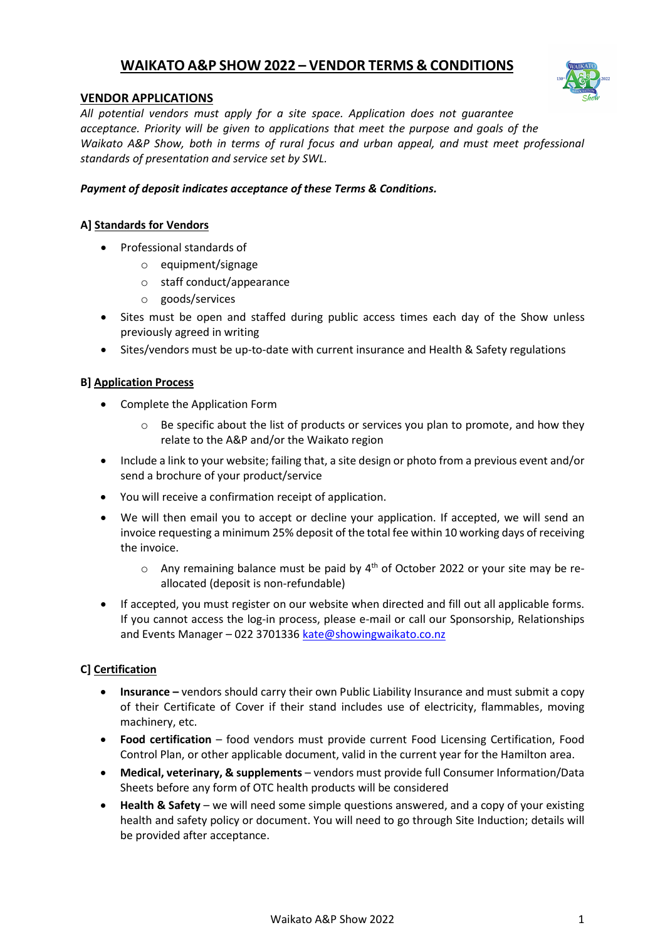# **WAIKATO A&P SHOW 2022 – VENDOR TERMS & CONDITIONS**



# **VENDOR APPLICATIONS**

*All potential vendors must apply for a site space. Application does not guarantee acceptance. Priority will be given to applications that meet the purpose and goals of the Waikato A&P Show, both in terms of rural focus and urban appeal, and must meet professional standards of presentation and service set by SWL.*

# *Payment of deposit indicates acceptance of these Terms & Conditions.*

# **A] Standards for Vendors**

- Professional standards of
	- o equipment/signage
	- o staff conduct/appearance
	- o goods/services
- Sites must be open and staffed during public access times each day of the Show unless previously agreed in writing
- Sites/vendors must be up-to-date with current insurance and Health & Safety regulations

## **B] Application Process**

- Complete the Application Form
	- o Be specific about the list of products or services you plan to promote, and how they relate to the A&P and/or the Waikato region
- Include a link to your website; failing that, a site design or photo from a previous event and/or send a brochure of your product/service
- You will receive a confirmation receipt of application.
- We will then email you to accept or decline your application. If accepted, we will send an invoice requesting a minimum 25% deposit of the total fee within 10 working days of receiving the invoice.
	- $\circ$  Any remaining balance must be paid by  $4^{\text{th}}$  of October 2022 or your site may be reallocated (deposit is non-refundable)
- If accepted, you must register on our website when directed and fill out all applicable forms. If you cannot access the log-in process, please e-mail or call our Sponsorship, Relationships and Events Manager - 022 3701336 [kate@showingwaikato.co.nz](mailto:kate@showingwaikato.co.nz)

## **C] Certification**

- **Insurance –** vendors should carry their own Public Liability Insurance and must submit a copy of their Certificate of Cover if their stand includes use of electricity, flammables, moving machinery, etc.
- **Food certification** food vendors must provide current Food Licensing Certification, Food Control Plan, or other applicable document, valid in the current year for the Hamilton area.
- **Medical, veterinary, & supplements** vendors must provide full Consumer Information/Data Sheets before any form of OTC health products will be considered
- **Health & Safety** we will need some simple questions answered, and a copy of your existing health and safety policy or document. You will need to go through Site Induction; details will be provided after acceptance.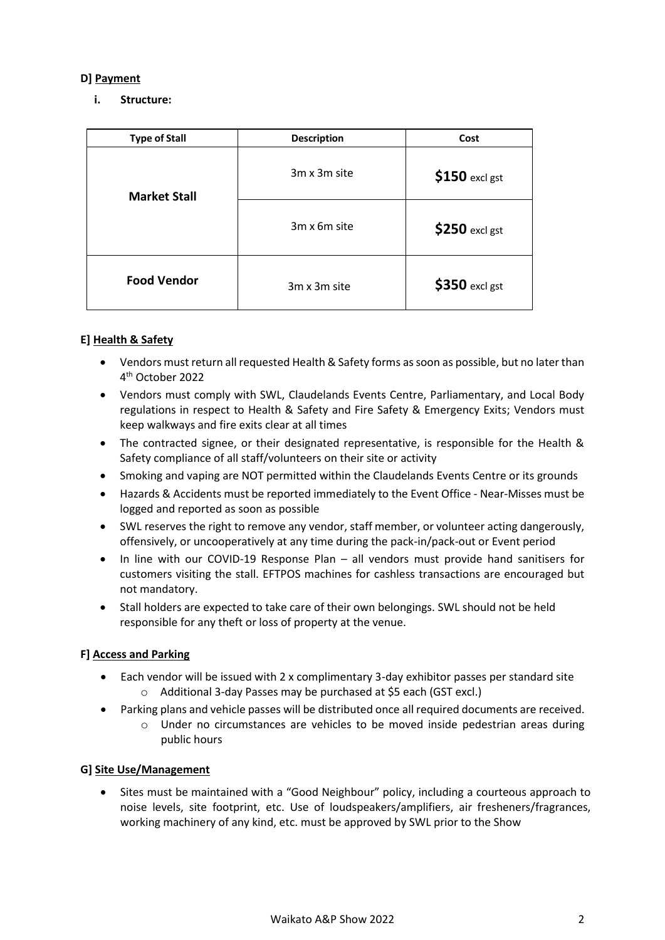# **D] Payment**

# **i. Structure:**

| <b>Type of Stall</b> | <b>Description</b> | Cost            |
|----------------------|--------------------|-----------------|
| <b>Market Stall</b>  | 3m x 3m site       | $$150$ excl gst |
|                      | 3m x 6m site       | \$250 excl gst  |
| <b>Food Vendor</b>   | 3m x 3m site       | $$350$ excl gst |

## **E] Health & Safety**

- Vendors must return all requested Health & Safety forms as soon as possible, but no later than 4 th October 2022
- Vendors must comply with SWL, Claudelands Events Centre, Parliamentary, and Local Body regulations in respect to Health & Safety and Fire Safety & Emergency Exits; Vendors must keep walkways and fire exits clear at all times
- The contracted signee, or their designated representative, is responsible for the Health & Safety compliance of all staff/volunteers on their site or activity
- Smoking and vaping are NOT permitted within the Claudelands Events Centre or its grounds
- Hazards & Accidents must be reported immediately to the Event Office Near-Misses must be logged and reported as soon as possible
- SWL reserves the right to remove any vendor, staff member, or volunteer acting dangerously, offensively, or uncooperatively at any time during the pack-in/pack-out or Event period
- In line with our COVID-19 Response Plan all vendors must provide hand sanitisers for customers visiting the stall. EFTPOS machines for cashless transactions are encouraged but not mandatory.
- Stall holders are expected to take care of their own belongings. SWL should not be held responsible for any theft or loss of property at the venue.

## **F] Access and Parking**

- Each vendor will be issued with 2 x complimentary 3-day exhibitor passes per standard site o Additional 3-day Passes may be purchased at \$5 each (GST excl.)
- Parking plans and vehicle passes will be distributed once all required documents are received.
	- o Under no circumstances are vehicles to be moved inside pedestrian areas during public hours

## **G] Site Use/Management**

• Sites must be maintained with a "Good Neighbour" policy, including a courteous approach to noise levels, site footprint, etc. Use of loudspeakers/amplifiers, air fresheners/fragrances, working machinery of any kind, etc. must be approved by SWL prior to the Show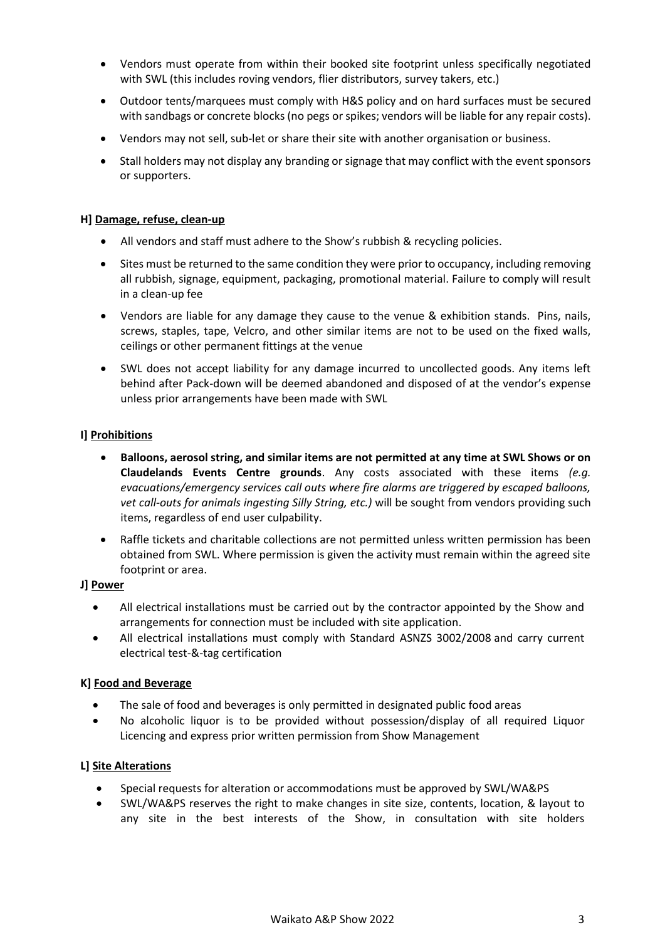- Vendors must operate from within their booked site footprint unless specifically negotiated with SWL (this includes roving vendors, flier distributors, survey takers, etc.)
- Outdoor tents/marquees must comply with H&S policy and on hard surfaces must be secured with sandbags or concrete blocks (no pegs or spikes; vendors will be liable for any repair costs).
- Vendors may not sell, sub-let or share their site with another organisation or business.
- Stall holders may not display any branding or signage that may conflict with the event sponsors or supporters.

## **H] Damage, refuse, clean-up**

- All vendors and staff must adhere to the Show's rubbish & recycling policies.
- Sites must be returned to the same condition they were prior to occupancy, including removing all rubbish, signage, equipment, packaging, promotional material. Failure to comply will result in a clean-up fee
- Vendors are liable for any damage they cause to the venue & exhibition stands. Pins, nails, screws, staples, tape, Velcro, and other similar items are not to be used on the fixed walls, ceilings or other permanent fittings at the venue
- SWL does not accept liability for any damage incurred to uncollected goods. Any items left behind after Pack-down will be deemed abandoned and disposed of at the vendor's expense unless prior arrangements have been made with SWL

## **I] Prohibitions**

- **Balloons, aerosol string, and similar items are not permitted at any time at SWL Shows or on Claudelands Events Centre grounds**. Any costs associated with these items *(e.g. evacuations/emergency services call outs where fire alarms are triggered by escaped balloons, vet call-outs for animals ingesting Silly String, etc.)* will be sought from vendors providing such items, regardless of end user culpability.
- Raffle tickets and charitable collections are not permitted unless written permission has been obtained from SWL. Where permission is given the activity must remain within the agreed site footprint or area.

## **J] Power**

- All electrical installations must be carried out by the contractor appointed by the Show and arrangements for connection must be included with site application.
- All electrical installations must comply with Standard ASNZS 3002/2008 and carry current electrical test-&-tag certification

## **K] Food and Beverage**

- The sale of food and beverages is only permitted in designated public food areas
- No alcoholic liquor is to be provided without possession/display of all required Liquor Licencing and express prior written permission from Show Management

## **L] Site Alterations**

- Special requests for alteration or accommodations must be approved by SWL/WA&PS
- SWL/WA&PS reserves the right to make changes in site size, contents, location, & layout to any site in the best interests of the Show, in consultation with site holders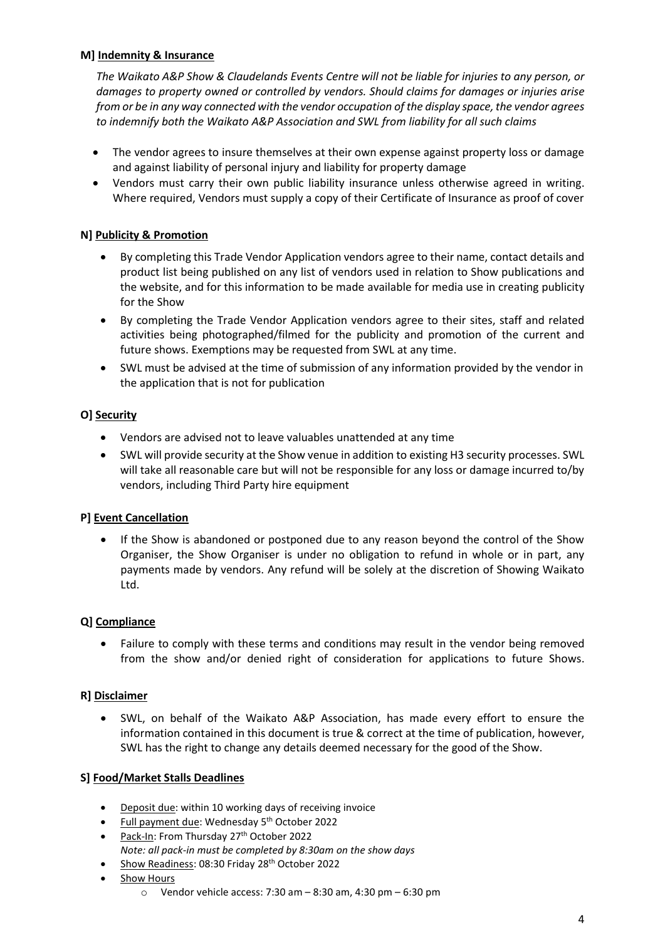# **M] Indemnity & Insurance**

*The Waikato A&P Show & Claudelands Events Centre will not be liable for injuries to any person, or damages to property owned or controlled by vendors. Should claims for damages or injuries arise from or be in any way connected with the vendor occupation of the display space, the vendor agrees to indemnify both the Waikato A&P Association and SWL from liability for all such claims*

- The vendor agrees to insure themselves at their own expense against property loss or damage and against liability of personal injury and liability for property damage
- Vendors must carry their own public liability insurance unless otherwise agreed in writing. Where required, Vendors must supply a copy of their Certificate of Insurance as proof of cover

# **N] Publicity & Promotion**

- By completing this Trade Vendor Application vendors agree to their name, contact details and product list being published on any list of vendors used in relation to Show publications and the website, and for this information to be made available for media use in creating publicity for the Show
- By completing the Trade Vendor Application vendors agree to their sites, staff and related activities being photographed/filmed for the publicity and promotion of the current and future shows. Exemptions may be requested from SWL at any time.
- SWL must be advised at the time of submission of any information provided by the vendor in the application that is not for publication

## **O] Security**

- Vendors are advised not to leave valuables unattended at any time
- SWL will provide security at the Show venue in addition to existing H3 security processes. SWL will take all reasonable care but will not be responsible for any loss or damage incurred to/by vendors, including Third Party hire equipment

## **P] Event Cancellation**

If the Show is abandoned or postponed due to any reason beyond the control of the Show Organiser, the Show Organiser is under no obligation to refund in whole or in part, any payments made by vendors. Any refund will be solely at the discretion of Showing Waikato Ltd.

## **Q] Compliance**

• Failure to comply with these terms and conditions may result in the vendor being removed from the show and/or denied right of consideration for applications to future Shows.

## **R] Disclaimer**

• SWL, on behalf of the Waikato A&P Association, has made every effort to ensure the information contained in this document is true & correct at the time of publication, however, SWL has the right to change any details deemed necessary for the good of the Show.

## **S] Food/Market Stalls Deadlines**

- Deposit due: within 10 working days of receiving invoice
- Full payment due: Wednesday 5<sup>th</sup> October 2022
- Pack-In: From Thursday 27<sup>th</sup> October 2022 *Note: all pack-in must be completed by 8:30am on the show days*
- Show Readiness: 08:30 Friday 28<sup>th</sup> October 2022
- Show Hours
	- $\circ$  Vendor vehicle access: 7:30 am 8:30 am, 4:30 pm 6:30 pm